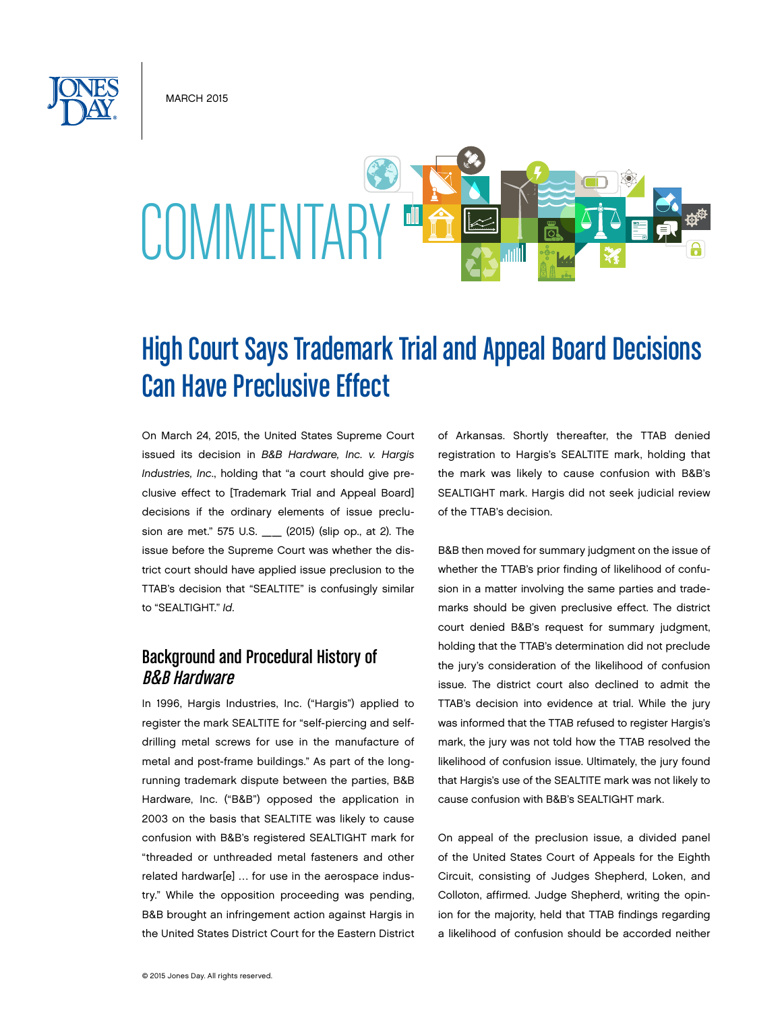MARCH 2015

# **COMMENTARY**

## High Court Says Trademark Trial and Appeal Board Decisions Can Have Preclusive Effect

On March 24, 2015, the United States Supreme Court issued its decision in *B&B Hardware, Inc. v. Hargis Industries, Inc*., holding that "a court should give preclusive effect to [Trademark Trial and Appeal Board] decisions if the ordinary elements of issue preclusion are met." 575 U.S. \_\_ (2015) (slip op., at 2). The issue before the Supreme Court was whether the district court should have applied issue preclusion to the TTAB's decision that "SEALTITE" is confusingly similar to "SEALTIGHT." *Id*.

#### Background and Procedural History of B&B Hardware

In 1996, Hargis Industries, Inc. ("Hargis") applied to register the mark SEALTITE for "self-piercing and selfdrilling metal screws for use in the manufacture of metal and post-frame buildings." As part of the longrunning trademark dispute between the parties, B&B Hardware, Inc. ("B&B") opposed the application in 2003 on the basis that SEALTITE was likely to cause confusion with B&B's registered SEALTIGHT mark for "threaded or unthreaded metal fasteners and other related hardwar[e] … for use in the aerospace industry." While the opposition proceeding was pending, B&B brought an infringement action against Hargis in the United States District Court for the Eastern District of Arkansas. Shortly thereafter, the TTAB denied registration to Hargis's SEALTITE mark, holding that the mark was likely to cause confusion with B&B's SEALTIGHT mark. Hargis did not seek judicial review of the TTAB's decision.

B&B then moved for summary judgment on the issue of whether the TTAB's prior finding of likelihood of confusion in a matter involving the same parties and trademarks should be given preclusive effect. The district court denied B&B's request for summary judgment, holding that the TTAB's determination did not preclude the jury's consideration of the likelihood of confusion issue. The district court also declined to admit the TTAB's decision into evidence at trial. While the jury was informed that the TTAB refused to register Hargis's mark, the jury was not told how the TTAB resolved the likelihood of confusion issue. Ultimately, the jury found that Hargis's use of the SEALTITE mark was not likely to cause confusion with B&B's SEALTIGHT mark.

On appeal of the preclusion issue, a divided panel of the United States Court of Appeals for the Eighth Circuit, consisting of Judges Shepherd, Loken, and Colloton, affirmed. Judge Shepherd, writing the opinion for the majority, held that TTAB findings regarding a likelihood of confusion should be accorded neither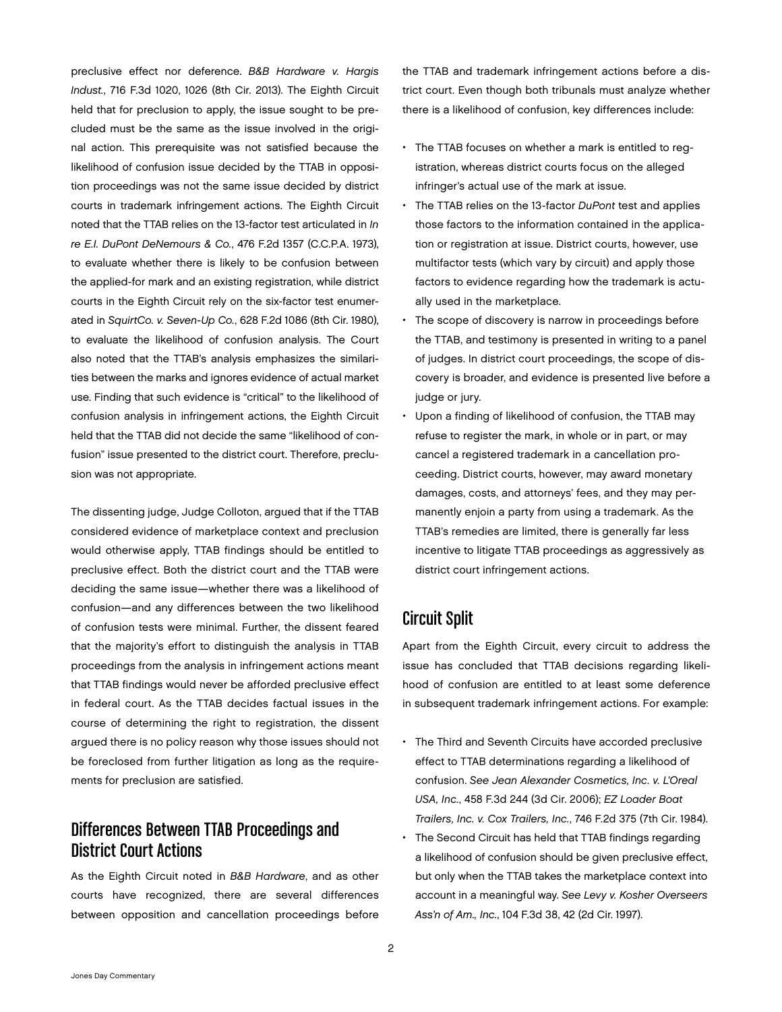preclusive effect nor deference. *B&B Hardware v. Hargis Indust.*, 716 F.3d 1020, 1026 (8th Cir. 2013). The Eighth Circuit held that for preclusion to apply, the issue sought to be precluded must be the same as the issue involved in the original action. This prerequisite was not satisfied because the likelihood of confusion issue decided by the TTAB in opposition proceedings was not the same issue decided by district courts in trademark infringement actions. The Eighth Circuit noted that the TTAB relies on the 13-factor test articulated in *In re E.I. DuPont DeNemours & Co.*, 476 F.2d 1357 (C.C.P.A. 1973), to evaluate whether there is likely to be confusion between the applied-for mark and an existing registration, while district courts in the Eighth Circuit rely on the six-factor test enumerated in *SquirtCo. v. Seven-Up Co.*, 628 F.2d 1086 (8th Cir. 1980), to evaluate the likelihood of confusion analysis. The Court also noted that the TTAB's analysis emphasizes the similarities between the marks and ignores evidence of actual market use. Finding that such evidence is "critical" to the likelihood of confusion analysis in infringement actions, the Eighth Circuit held that the TTAB did not decide the same "likelihood of confusion" issue presented to the district court. Therefore, preclusion was not appropriate.

The dissenting judge, Judge Colloton, argued that if the TTAB considered evidence of marketplace context and preclusion would otherwise apply, TTAB findings should be entitled to preclusive effect. Both the district court and the TTAB were deciding the same issue—whether there was a likelihood of confusion—and any differences between the two likelihood of confusion tests were minimal. Further, the dissent feared that the majority's effort to distinguish the analysis in TTAB proceedings from the analysis in infringement actions meant that TTAB findings would never be afforded preclusive effect in federal court. As the TTAB decides factual issues in the course of determining the right to registration, the dissent argued there is no policy reason why those issues should not be foreclosed from further litigation as long as the requirements for preclusion are satisfied.

#### Differences Between TTAB Proceedings and District Court Actions

As the Eighth Circuit noted in *B&B Hardware*, and as other courts have recognized, there are several differences between opposition and cancellation proceedings before the TTAB and trademark infringement actions before a district court. Even though both tribunals must analyze whether there is a likelihood of confusion, key differences include:

- The TTAB focuses on whether a mark is entitled to registration, whereas district courts focus on the alleged infringer's actual use of the mark at issue.
- The TTAB relies on the 13-factor *DuPont* test and applies those factors to the information contained in the application or registration at issue. District courts, however, use multifactor tests (which vary by circuit) and apply those factors to evidence regarding how the trademark is actually used in the marketplace.
- The scope of discovery is narrow in proceedings before the TTAB, and testimony is presented in writing to a panel of judges. In district court proceedings, the scope of discovery is broader, and evidence is presented live before a judge or jury.
- Upon a finding of likelihood of confusion, the TTAB may refuse to register the mark, in whole or in part, or may cancel a registered trademark in a cancellation proceeding. District courts, however, may award monetary damages, costs, and attorneys' fees, and they may permanently enjoin a party from using a trademark. As the TTAB's remedies are limited, there is generally far less incentive to litigate TTAB proceedings as aggressively as district court infringement actions.

### Circuit Split

Apart from the Eighth Circuit, every circuit to address the issue has concluded that TTAB decisions regarding likelihood of confusion are entitled to at least some deference in subsequent trademark infringement actions. For example:

- The Third and Seventh Circuits have accorded preclusive effect to TTAB determinations regarding a likelihood of confusion. *See Jean Alexander Cosmetics, Inc. v. L'Oreal USA, Inc.*, 458 F.3d 244 (3d Cir. 2006); *EZ Loader Boat Trailers, Inc. v. Cox Trailers, Inc.*, 746 F.2d 375 (7th Cir. 1984).
- The Second Circuit has held that TTAB findings regarding a likelihood of confusion should be given preclusive effect, but only when the TTAB takes the marketplace context into account in a meaningful way. *See Levy v. Kosher Overseers Ass'n of Am., Inc.*, 104 F.3d 38, 42 (2d Cir. 1997).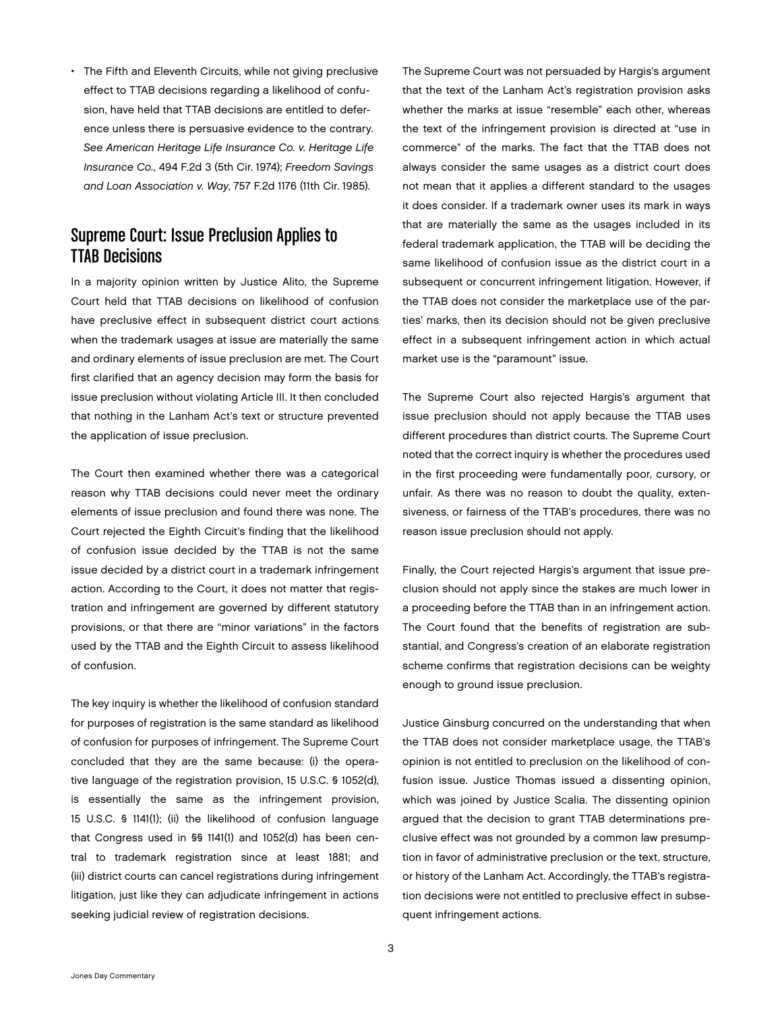The Fifth and Eleventh Circuits, while not giving preclusive effect to TTAB decisions regarding a likelihood of confusion, have held that TTAB decisions are entitled to deference unless there is persuasive evidence to the contrary. *See American Heritage Life Insurance Co. v. Heritage Life Insurance Co.*, 494 F.2d 3 (5th Cir. 1974); *Freedom Savings and Loan Association v. Way*, 757 F.2d 1176 (11th Cir. 1985).

#### Supreme Court: Issue Preclusion Applies to TTAB Decisions

In a majority opinion written by Justice Alito, the Supreme Court held that TTAB decisions on likelihood of confusion have preclusive effect in subsequent district court actions when the trademark usages at issue are materially the same and ordinary elements of issue preclusion are met. The Court first clarified that an agency decision may form the basis for issue preclusion without violating Article III. It then concluded that nothing in the Lanham Act's text or structure prevented the application of issue preclusion.

The Court then examined whether there was a categorical reason why TTAB decisions could never meet the ordinary elements of issue preclusion and found there was none. The Court rejected the Eighth Circuit's finding that the likelihood of confusion issue decided by the TTAB is not the same issue decided by a district court in a trademark infringement action. According to the Court, it does not matter that registration and infringement are governed by different statutory provisions, or that there are "minor variations" in the factors used by the TTAB and the Eighth Circuit to assess likelihood of confusion.

The key inquiry is whether the likelihood of confusion standard for purposes of registration is the same standard as likelihood of confusion for purposes of infringement. The Supreme Court concluded that they are the same because: (i) the operative language of the registration provision, 15 U.S.C. § 1052(d), is essentially the same as the infringement provision, 15 U.S.C. § 1141(1); (ii) the likelihood of confusion language that Congress used in §§ 1141(1) and 1052(d) has been central to trademark registration since at least 1881; and (iii) district courts can cancel registrations during infringement litigation, just like they can adjudicate infringement in actions seeking judicial review of registration decisions.

The Supreme Court was not persuaded by Hargis's argument that the text of the Lanham Act's registration provision asks whether the marks at issue "resemble" each other, whereas the text of the infringement provision is directed at "use in commerce" of the marks. The fact that the TTAB does not always consider the same usages as a district court does not mean that it applies a different standard to the usages it does consider. If a trademark owner uses its mark in ways that are materially the same as the usages included in its federal trademark application, the TTAB will be deciding the same likelihood of confusion issue as the district court in a subsequent or concurrent infringement litigation. However, if the TTAB does not consider the marketplace use of the parties' marks, then its decision should not be given preclusive effect in a subsequent infringement action in which actual market use is the "paramount" issue.

The Supreme Court also rejected Hargis's argument that issue preclusion should not apply because the TTAB uses different procedures than district courts. The Supreme Court noted that the correct inquiry is whether the procedures used in the first proceeding were fundamentally poor, cursory, or unfair. As there was no reason to doubt the quality, extensiveness, or fairness of the TTAB's procedures, there was no reason issue preclusion should not apply.

Finally, the Court rejected Hargis's argument that issue preclusion should not apply since the stakes are much lower in a proceeding before the TTAB than in an infringement action. The Court found that the benefits of registration are substantial, and Congress's creation of an elaborate registration scheme confirms that registration decisions can be weighty enough to ground issue preclusion.

Justice Ginsburg concurred on the understanding that when the TTAB does not consider marketplace usage, the TTAB's opinion is not entitled to preclusion on the likelihood of confusion issue. Justice Thomas issued a dissenting opinion, which was joined by Justice Scalia. The dissenting opinion argued that the decision to grant TTAB determinations preclusive effect was not grounded by a common law presumption in favor of administrative preclusion or the text, structure, or history of the Lanham Act. Accordingly, the TTAB's registration decisions were not entitled to preclusive effect in subsequent infringement actions.